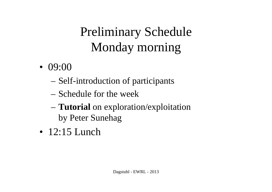# Preliminary ScheduleMonday morning

- $\bullet$  09:00
	- Self-introduction of participants
	- Schedule for the week<br>- Tutorial on exploration
	- **Tutorial** on exploration/exploitation by Peter Sunehag
- 12:15 Lunch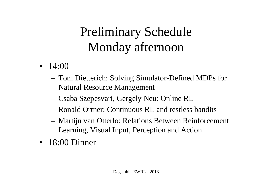#### Preliminary ScheduleMonday afternoon

- $\bullet$  14:00
	- Tom Dietterich: Solving Simulator-Defined MDPs for Natural Resource Management
	- Csaba Szepesvari, Gergely Neu: Online RL
	- Ronald Ortner: Continuous RL and restless bandits
	- Martijn van Otterlo: Relations Between Reinforcement Learning, Visual Input, Perception and Action
- 18:00 Dinner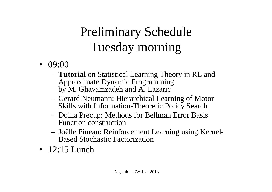# Preliminary ScheduleTuesday morning

- $09:00$ 
	- **Tutorial** on Statistical Learning Theory in RL and Approximate Dynamic Programming by M. Ghavamzadeh and A. Lazaric
	- Gerard Neumann: Hierarchical Learning of Motor Skills with Information-Theoretic Policy Search
	- Doina Precup: Methods for Bellman Error Basis Function construction
	- Joëlle Pineau: Reinforcement Learning using Kernel-Based Stochastic Factorization
- 12:15 Lunch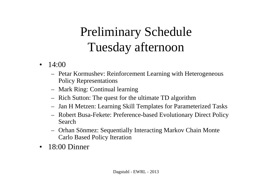#### Preliminary ScheduleTuesday afternoon

- $14:00$ 
	- Petar Kormushev: Reinforcement Learning with HeterogeneousPolicy Representations
	- Mark Ring: Continual learning
	- Rich Sutton: The ques<sup>t</sup> for the ultimate TD algorithm
	- Jan H Metzen: Learning Skill Lemplates for Parame Jan H Metzen: Learning Skill Templates for Parameterized Tasks
	- Robert Busa-Fekete: Preference-based Evolutionary Direct PolicySearch
	- Orhan Sönmez: Sequentially Interacting Markov Chain Monte Carlo Based Policy Iteration
- •18:00 Dinner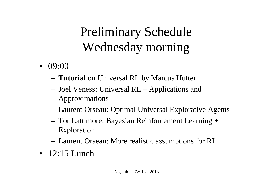# Preliminary ScheduleWednesday morning

- $09:00$ 
	- **Tutorial** on Universal RL by Marcus Hutter
	- Joel Veness: Universal RL Applications and Approximations
	- Laurent Orseau: Optimal Universal Explorative Agents
	- Tor Lattimore: Bayesian Reinforcement Learning + Exploration
	- Laurent Orseau: More realistic assumptions for RL
- 12:15 Lunch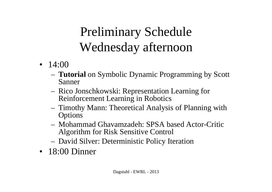#### Preliminary ScheduleWednesday afternoon

- $\bullet$  14:00
	- **Tutorial** on Symbolic Dynamic Programming by Scott Sanner
	- Rico Jonschkowski: Representation Learning forReinforcement Learning in Robotics
	- Timothy Mann: Theoretical Analysis of Planning with**Options**
	- Mohammad Ghavamzadeh: SPSA based Actor-CriticAlgorithm for Risk Sensitive Control
	- David Silver: Deterministic Policy Iteration
- 18:00 Dinner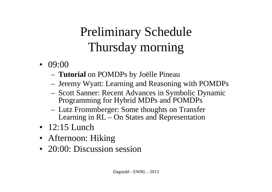# Preliminary ScheduleThursday morning

- $09:00$ 
	- **Tutorial** on POMDPs by Joëlle Pineau
	- Jeremy Wyatt: Learning and Reasoning with POMDPs
	- Scott Sanner: Recent Advances in Symbolic DynamicProgramming for Hybrid MDPs and POMDPs
	- Lutz Frommberger: Some thoughts on Transfer Learning in RL – On States and Representation
- 12:15 Lunch
- Afternoon: Hiking
- 20:00: Discussion session